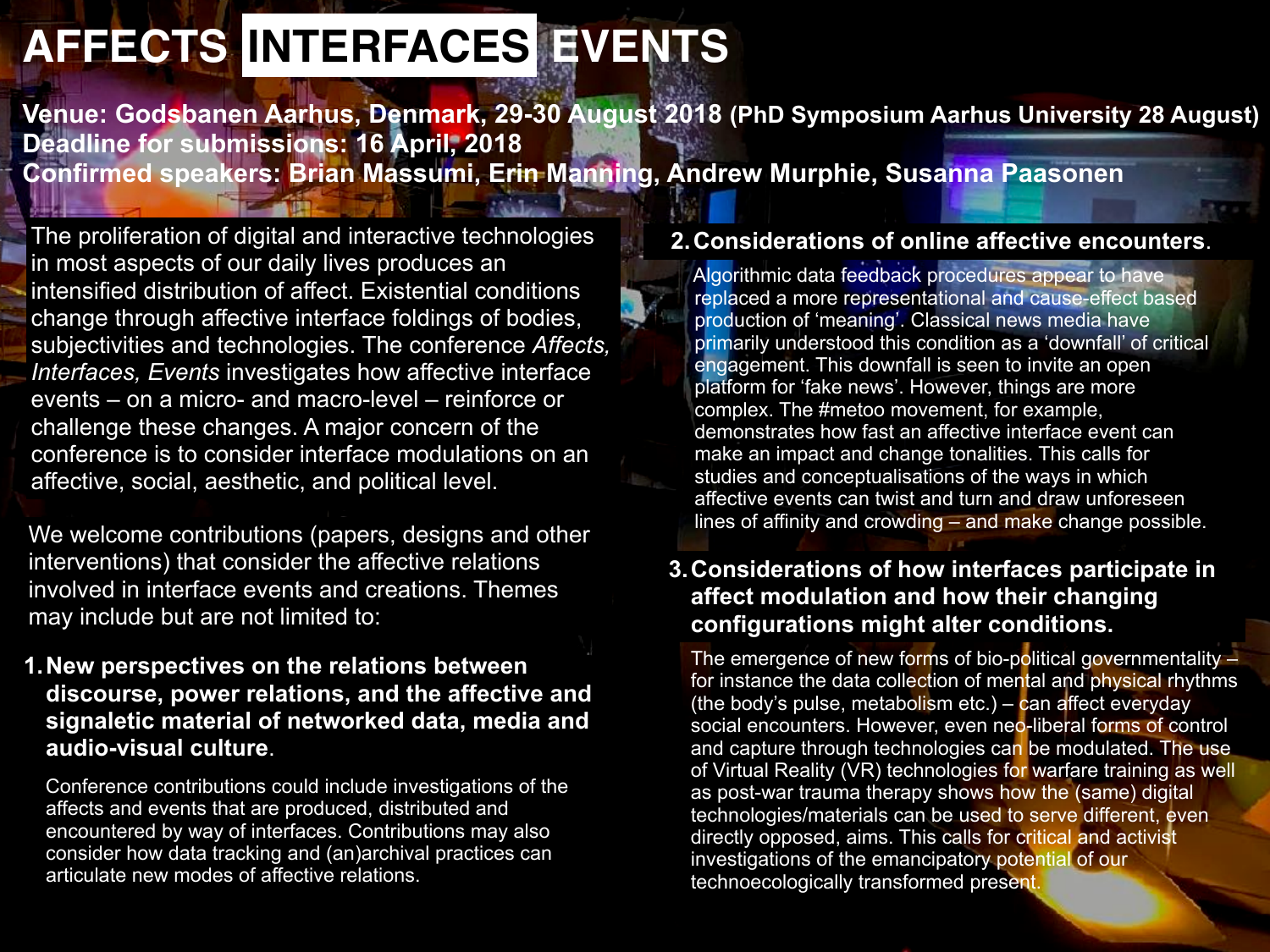# **AFFECTS INTERFACES EVENTS**

**Venue: Godsbanen Aarhus, Denmark, 29-30 August 2018 (PhD Symposium Aarhus University 28 August) Deadline for submissions: 16 April, 2018 Confirmed speakers: Brian Massumi, Erin Manning, Andrew Murphie, Susanna Paasonen**

The proliferation of digital and interactive technologies in most aspects of our daily lives produces an intensified distribution of affect. Existential conditions change through affective interface foldings of bodies, subjectivities and technologies. The conference *Affects, Interfaces, Events* investigates how affective interface events – on a micro- and macro-level – reinforce or challenge these changes. A major concern of the conference is to consider interface modulations on an affective, social, aesthetic, and political level.

lines of affinity and crowding – and make change possible. We welcome contributions (papers, designs and other interventions) that consider the affective relations involved in interface events and creations. Themes may include but are not limited to:

### **1. New perspectives on the relations between discourse, power relations, and the affective and signaletic material of networked data, media and audio-visual culture**.

 Conference contributions could include investigations of the affects and events that are produced, distributed and encountered by way of interfaces. Contributions may also consider how data tracking and (an)archival practices can articulate new modes of affective relations.

### **2. Considerations of online affective encounters**.

 Algorithmic data feedback procedures appear to have replaced a more representational and cause-effect based production of 'meaning'. Classical news media have primarily understood this condition as a 'downfall' of critical engagement. This downfall is seen to invite an open platform for 'fake news'. However, things are more complex. The #metoo movement, for example, demonstrates how fast an affective interface event can make an impact and change tonalities. This calls for studies and conceptualisations of the ways in which affective events can twist and turn and draw unforeseen

## **3. Considerations of how interfaces participate in affect modulation and how their changing configurations might alter conditions.**

The emergence of new forms of bio-political governmentality – for instance the data collection of mental and physical rhythms (the body's pulse, metabolism etc.) – can affect everyday social encounters. However, even neo-liberal forms of control and capture through technologies can be modulated. The use of Virtual Reality (VR) technologies for warfare training as well as post-war trauma therapy shows how the (same) digital technologies/materials can be used to serve different, even directly opposed, aims. This calls for critical and activist investigations of the emancipatory potential of our technoecologically transformed present.